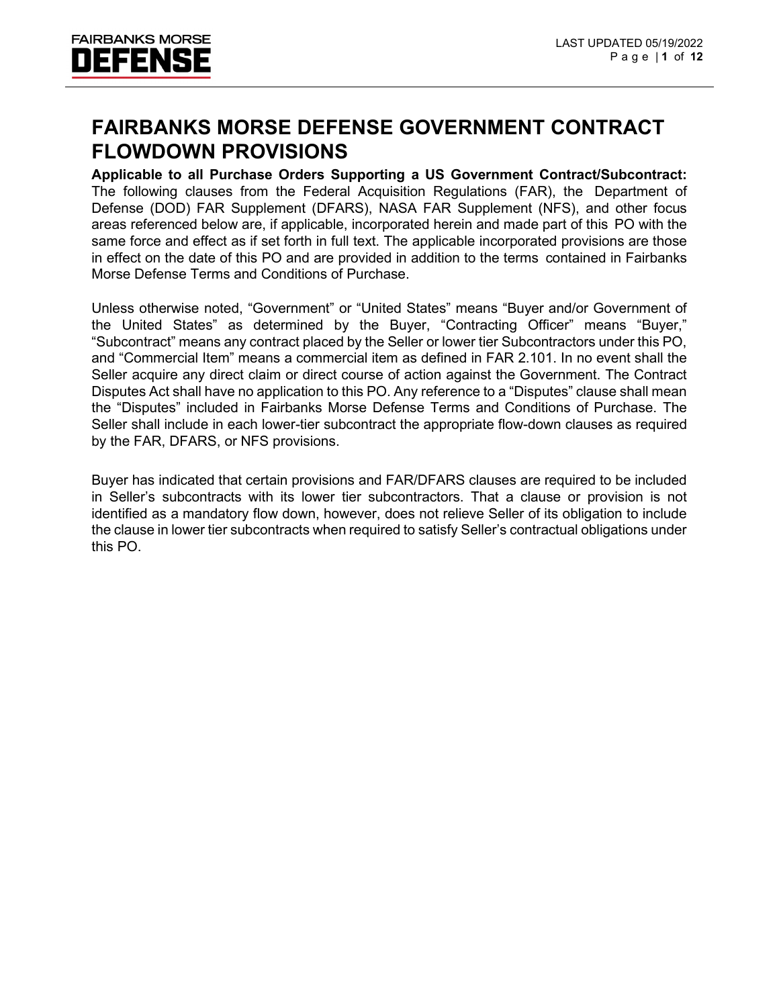#### **FAIRBANKS MORSE DEFENSE GOVERNMENT CONTRACT FLOWDOWN PROVISIONS**

**Applicable to all Purchase Orders Supporting a US Government Contract/Subcontract:** The following clauses from the Federal Acquisition Regulations (FAR), the Department of Defense (DOD) FAR Supplement (DFARS), NASA FAR Supplement (NFS), and other focus areas referenced below are, if applicable, incorporated herein and made part of this PO with the same force and effect as if set forth in full text. The applicable incorporated provisions are those in effect on the date of this PO and are provided in addition to the terms contained in Fairbanks Morse Defense Terms and Conditions of Purchase.

Unless otherwise noted, "Government" or "United States" means "Buyer and/or Government of the United States" as determined by the Buyer, "Contracting Officer" means "Buyer," "Subcontract" means any contract placed by the Seller or lower tier Subcontractors under this PO, and "Commercial Item" means a commercial item as defined in FAR 2.101. In no event shall the Seller acquire any direct claim or direct course of action against the Government. The Contract Disputes Act shall have no application to this PO. Any reference to a "Disputes" clause shall mean the "Disputes" included in Fairbanks Morse Defense Terms and Conditions of Purchase. The Seller shall include in each lower-tier subcontract the appropriate flow-down clauses as required by the FAR, DFARS, or NFS provisions.

Buyer has indicated that certain provisions and FAR/DFARS clauses are required to be included in Seller's subcontracts with its lower tier subcontractors. That a clause or provision is not identified as a mandatory flow down, however, does not relieve Seller of its obligation to include the clause in lower tier subcontracts when required to satisfy Seller's contractual obligations under this PO.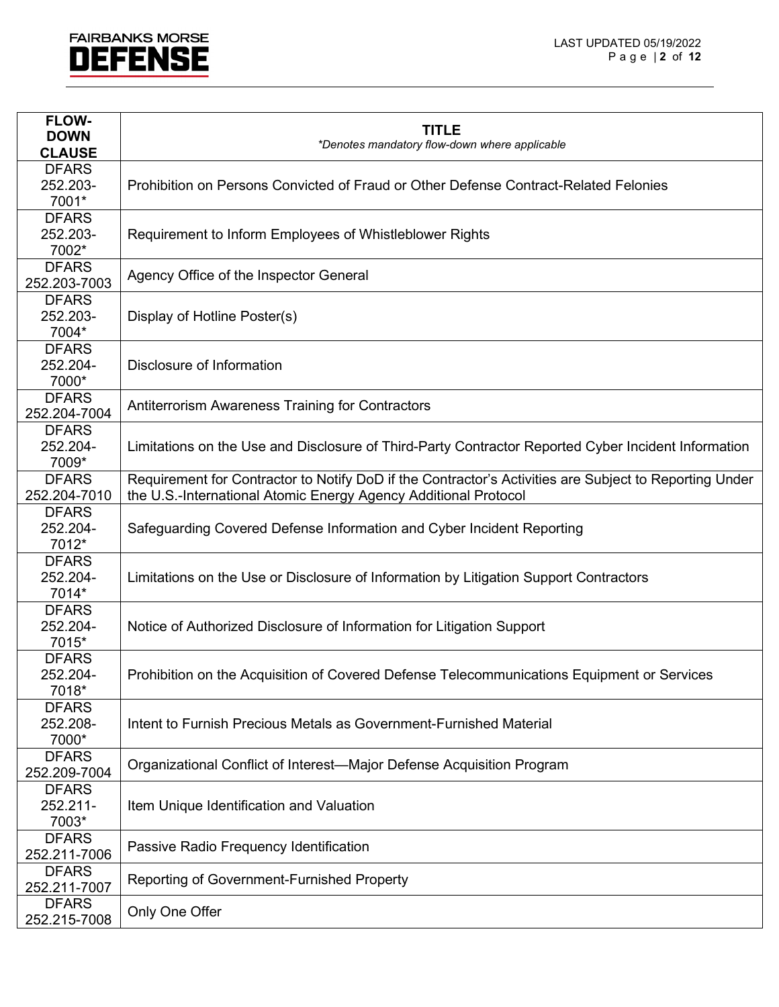

| <b>FLOW-</b>                 |                                                                                                        |
|------------------------------|--------------------------------------------------------------------------------------------------------|
| <b>DOWN</b>                  | <b>TITLE</b><br>*Denotes mandatory flow-down where applicable                                          |
| <b>CLAUSE</b>                |                                                                                                        |
| <b>DFARS</b>                 |                                                                                                        |
| 252.203-                     | Prohibition on Persons Convicted of Fraud or Other Defense Contract-Related Felonies                   |
| 7001*                        |                                                                                                        |
| <b>DFARS</b>                 |                                                                                                        |
| 252.203-                     | Requirement to Inform Employees of Whistleblower Rights                                                |
| 7002*                        |                                                                                                        |
| <b>DFARS</b>                 | Agency Office of the Inspector General                                                                 |
| 252.203-7003                 |                                                                                                        |
| <b>DFARS</b>                 |                                                                                                        |
| 252.203-                     | Display of Hotline Poster(s)                                                                           |
| 7004*                        |                                                                                                        |
| <b>DFARS</b>                 |                                                                                                        |
| 252.204-                     | Disclosure of Information                                                                              |
| 7000*                        |                                                                                                        |
| <b>DFARS</b>                 | Antiterrorism Awareness Training for Contractors                                                       |
| 252.204-7004                 |                                                                                                        |
| <b>DFARS</b>                 |                                                                                                        |
| 252.204-                     | Limitations on the Use and Disclosure of Third-Party Contractor Reported Cyber Incident Information    |
| 7009*                        |                                                                                                        |
| <b>DFARS</b>                 | Requirement for Contractor to Notify DoD if the Contractor's Activities are Subject to Reporting Under |
| 252.204-7010                 | the U.S.-International Atomic Energy Agency Additional Protocol                                        |
| <b>DFARS</b>                 |                                                                                                        |
| 252.204-                     | Safeguarding Covered Defense Information and Cyber Incident Reporting                                  |
| 7012*                        |                                                                                                        |
| <b>DFARS</b>                 |                                                                                                        |
| 252.204-                     | Limitations on the Use or Disclosure of Information by Litigation Support Contractors                  |
| 7014*                        |                                                                                                        |
| <b>DFARS</b>                 |                                                                                                        |
| 252.204-                     | Notice of Authorized Disclosure of Information for Litigation Support                                  |
| 7015*                        |                                                                                                        |
| <b>DFARS</b>                 |                                                                                                        |
| 252.204-                     | Prohibition on the Acquisition of Covered Defense Telecommunications Equipment or Services             |
| 7018*                        |                                                                                                        |
| <b>DFARS</b>                 |                                                                                                        |
| 252.208-                     | Intent to Furnish Precious Metals as Government-Furnished Material                                     |
| 7000*                        |                                                                                                        |
| <b>DFARS</b><br>252.209-7004 | Organizational Conflict of Interest-Major Defense Acquisition Program                                  |
| <b>DFARS</b>                 |                                                                                                        |
| 252.211-                     |                                                                                                        |
| 7003*                        | Item Unique Identification and Valuation                                                               |
| <b>DFARS</b>                 |                                                                                                        |
| 252.211-7006                 | Passive Radio Frequency Identification                                                                 |
| <b>DFARS</b>                 |                                                                                                        |
| 252.211-7007                 | <b>Reporting of Government-Furnished Property</b>                                                      |
| <b>DFARS</b>                 |                                                                                                        |
| 252.215-7008                 | Only One Offer                                                                                         |
|                              |                                                                                                        |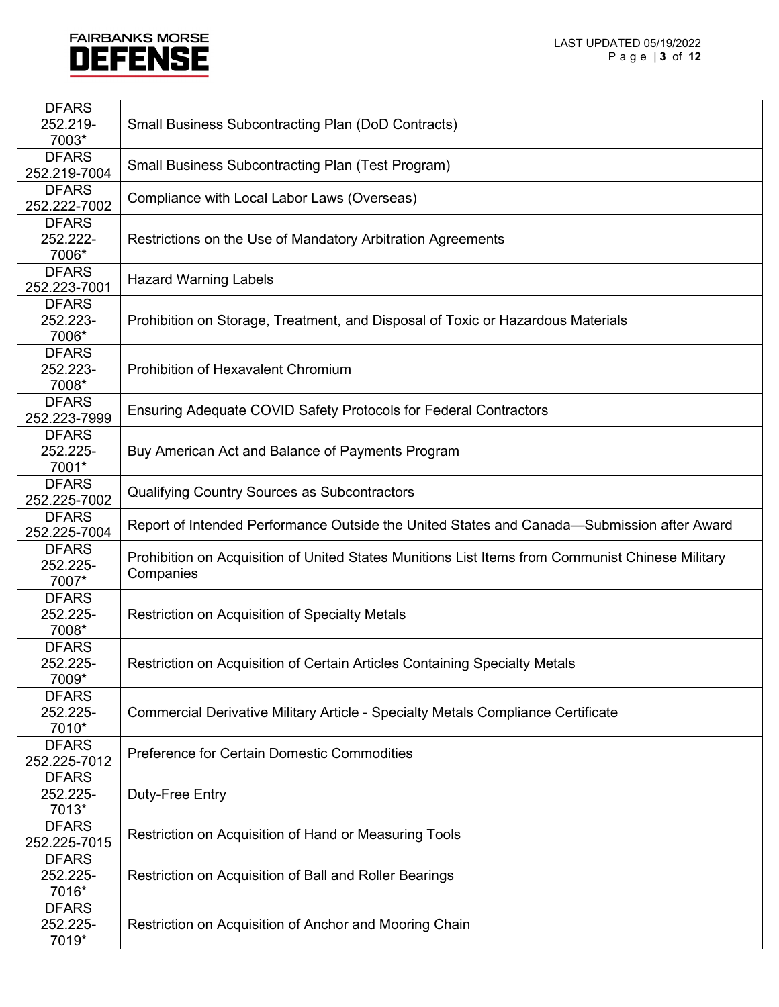| <b>DFARS</b><br>252.219-<br>7003* | <b>Small Business Subcontracting Plan (DoD Contracts)</b>                                                     |
|-----------------------------------|---------------------------------------------------------------------------------------------------------------|
| <b>DFARS</b><br>252.219-7004      | <b>Small Business Subcontracting Plan (Test Program)</b>                                                      |
| <b>DFARS</b><br>252.222-7002      | Compliance with Local Labor Laws (Overseas)                                                                   |
| <b>DFARS</b><br>252.222-<br>7006* | Restrictions on the Use of Mandatory Arbitration Agreements                                                   |
| <b>DFARS</b><br>252.223-7001      | <b>Hazard Warning Labels</b>                                                                                  |
| <b>DFARS</b><br>252.223-<br>7006* | Prohibition on Storage, Treatment, and Disposal of Toxic or Hazardous Materials                               |
| <b>DFARS</b><br>252.223-<br>7008* | Prohibition of Hexavalent Chromium                                                                            |
| <b>DFARS</b><br>252.223-7999      | Ensuring Adequate COVID Safety Protocols for Federal Contractors                                              |
| <b>DFARS</b><br>252.225-<br>7001* | Buy American Act and Balance of Payments Program                                                              |
| <b>DFARS</b><br>252.225-7002      | Qualifying Country Sources as Subcontractors                                                                  |
| <b>DFARS</b><br>252.225-7004      | Report of Intended Performance Outside the United States and Canada—Submission after Award                    |
| <b>DFARS</b><br>252.225-<br>7007* | Prohibition on Acquisition of United States Munitions List Items from Communist Chinese Military<br>Companies |
| <b>DFARS</b><br>252.225-<br>7008* | Restriction on Acquisition of Specialty Metals                                                                |
| <b>DFARS</b><br>252.225-<br>7009* | Restriction on Acquisition of Certain Articles Containing Specialty Metals                                    |
| <b>DFARS</b><br>252.225-<br>7010* | Commercial Derivative Military Article - Specialty Metals Compliance Certificate                              |
| <b>DFARS</b><br>252.225-7012      | Preference for Certain Domestic Commodities                                                                   |
| <b>DFARS</b><br>252.225-<br>7013* | Duty-Free Entry                                                                                               |
| <b>DFARS</b><br>252.225-7015      | Restriction on Acquisition of Hand or Measuring Tools                                                         |
| <b>DFARS</b><br>252.225-<br>7016* | Restriction on Acquisition of Ball and Roller Bearings                                                        |
| <b>DFARS</b><br>252.225-<br>7019* | Restriction on Acquisition of Anchor and Mooring Chain                                                        |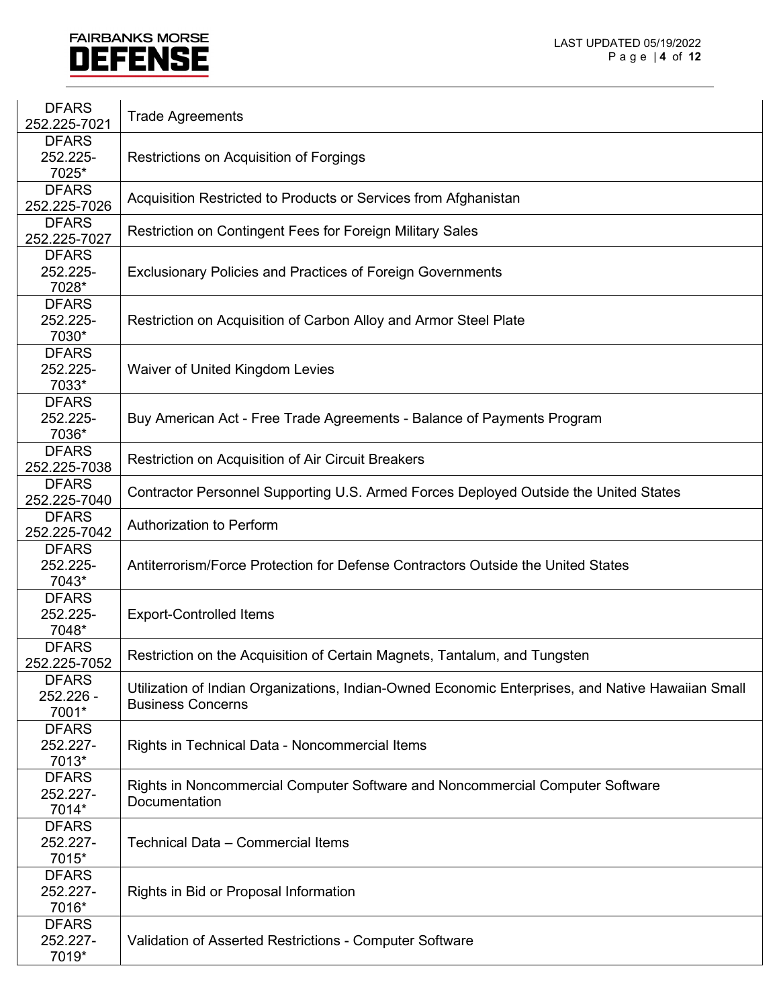| <b>DFARS</b><br>252.225-7021 | <b>Trade Agreements</b>                                                                           |
|------------------------------|---------------------------------------------------------------------------------------------------|
| <b>DFARS</b>                 |                                                                                                   |
| 252.225-                     | Restrictions on Acquisition of Forgings                                                           |
| 7025*                        |                                                                                                   |
| <b>DFARS</b>                 |                                                                                                   |
| 252.225-7026                 | Acquisition Restricted to Products or Services from Afghanistan                                   |
| <b>DFARS</b>                 |                                                                                                   |
| 252.225-7027                 | Restriction on Contingent Fees for Foreign Military Sales                                         |
| <b>DFARS</b>                 |                                                                                                   |
| 252.225-                     | <b>Exclusionary Policies and Practices of Foreign Governments</b>                                 |
| 7028*                        |                                                                                                   |
| <b>DFARS</b>                 |                                                                                                   |
| 252.225-                     | Restriction on Acquisition of Carbon Alloy and Armor Steel Plate                                  |
| 7030*                        |                                                                                                   |
| <b>DFARS</b>                 |                                                                                                   |
| 252.225-                     | Waiver of United Kingdom Levies                                                                   |
| 7033*                        |                                                                                                   |
| <b>DFARS</b>                 |                                                                                                   |
| 252.225-                     | Buy American Act - Free Trade Agreements - Balance of Payments Program                            |
| 7036*                        |                                                                                                   |
| <b>DFARS</b>                 | Restriction on Acquisition of Air Circuit Breakers                                                |
| 252.225-7038                 |                                                                                                   |
| <b>DFARS</b>                 | Contractor Personnel Supporting U.S. Armed Forces Deployed Outside the United States              |
| 252.225-7040<br><b>DFARS</b> |                                                                                                   |
| 252.225-7042                 | <b>Authorization to Perform</b>                                                                   |
| <b>DFARS</b>                 |                                                                                                   |
| 252.225-                     | Antiterrorism/Force Protection for Defense Contractors Outside the United States                  |
| 7043*                        |                                                                                                   |
| <b>DFARS</b>                 |                                                                                                   |
| 252.225-                     | <b>Export-Controlled Items</b>                                                                    |
| 7048*                        |                                                                                                   |
| <b>DFARS</b>                 |                                                                                                   |
| 252.225-7052                 | Restriction on the Acquisition of Certain Magnets, Tantalum, and Tungsten                         |
| <b>DFARS</b>                 |                                                                                                   |
| 252.226 -                    | Utilization of Indian Organizations, Indian-Owned Economic Enterprises, and Native Hawaiian Small |
| 7001*                        | <b>Business Concerns</b>                                                                          |
| <b>DFARS</b>                 |                                                                                                   |
| 252.227-                     | Rights in Technical Data - Noncommercial Items                                                    |
| 7013*                        |                                                                                                   |
| <b>DFARS</b>                 | Rights in Noncommercial Computer Software and Noncommercial Computer Software                     |
| 252.227-                     | Documentation                                                                                     |
| 7014*                        |                                                                                                   |
| <b>DFARS</b>                 |                                                                                                   |
| 252.227-                     | Technical Data - Commercial Items                                                                 |
| 7015*                        |                                                                                                   |
| <b>DFARS</b>                 |                                                                                                   |
| 252.227-                     | Rights in Bid or Proposal Information                                                             |
| 7016*                        |                                                                                                   |
| <b>DFARS</b>                 |                                                                                                   |
| 252.227-                     | Validation of Asserted Restrictions - Computer Software                                           |
| 7019*                        |                                                                                                   |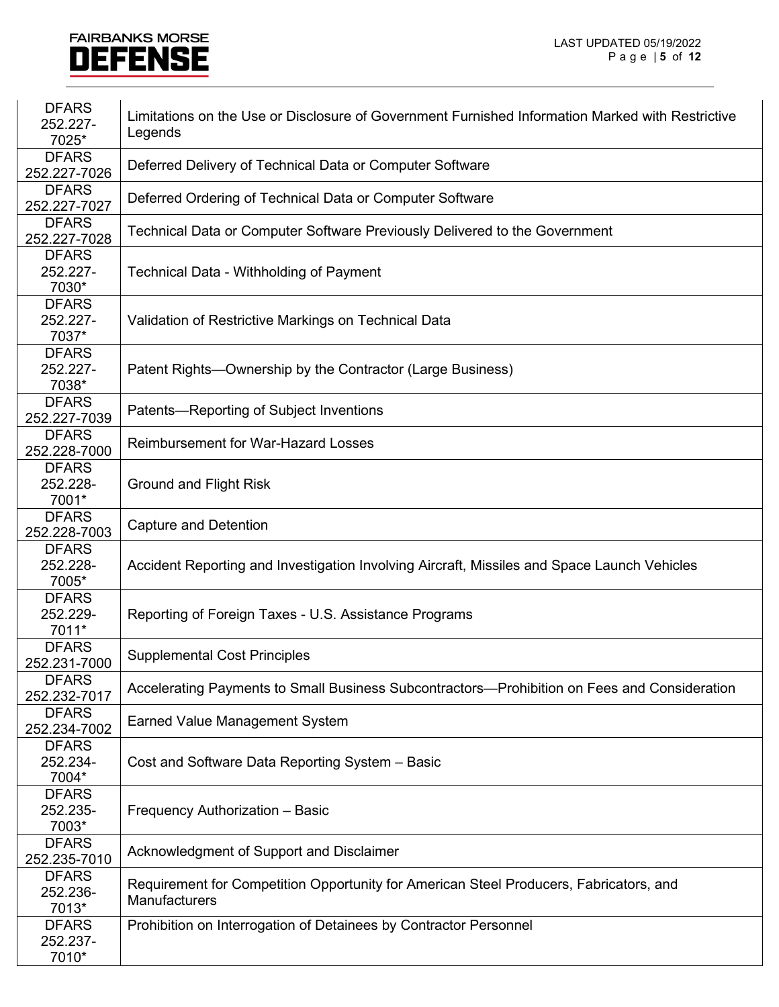| <b>DFARS</b><br>252.227-<br>7025* | Limitations on the Use or Disclosure of Government Furnished Information Marked with Restrictive<br>Legends |
|-----------------------------------|-------------------------------------------------------------------------------------------------------------|
| <b>DFARS</b><br>252.227-7026      | Deferred Delivery of Technical Data or Computer Software                                                    |
| <b>DFARS</b><br>252.227-7027      | Deferred Ordering of Technical Data or Computer Software                                                    |
| <b>DFARS</b><br>252.227-7028      | Technical Data or Computer Software Previously Delivered to the Government                                  |
| <b>DFARS</b><br>252.227-<br>7030* | Technical Data - Withholding of Payment                                                                     |
| <b>DFARS</b><br>252.227-<br>7037* | Validation of Restrictive Markings on Technical Data                                                        |
| <b>DFARS</b><br>252.227-<br>7038* | Patent Rights—Ownership by the Contractor (Large Business)                                                  |
| <b>DFARS</b><br>252.227-7039      | Patents-Reporting of Subject Inventions                                                                     |
| <b>DFARS</b><br>252.228-7000      | <b>Reimbursement for War-Hazard Losses</b>                                                                  |
| <b>DFARS</b><br>252.228-<br>7001* | <b>Ground and Flight Risk</b>                                                                               |
| <b>DFARS</b><br>252.228-7003      | <b>Capture and Detention</b>                                                                                |
| <b>DFARS</b><br>252.228-<br>7005* | Accident Reporting and Investigation Involving Aircraft, Missiles and Space Launch Vehicles                 |
| <b>DFARS</b><br>252.229-<br>7011* | Reporting of Foreign Taxes - U.S. Assistance Programs                                                       |
| <b>DFARS</b><br>252.231-7000      | <b>Supplemental Cost Principles</b>                                                                         |
| <b>DFARS</b><br>252.232-7017      | Accelerating Payments to Small Business Subcontractors—Prohibition on Fees and Consideration                |
| <b>DFARS</b><br>252.234-7002      | <b>Earned Value Management System</b>                                                                       |
| <b>DFARS</b><br>252.234-<br>7004* | Cost and Software Data Reporting System - Basic                                                             |
| <b>DFARS</b><br>252.235-<br>7003* | Frequency Authorization - Basic                                                                             |
| <b>DFARS</b><br>252.235-7010      | Acknowledgment of Support and Disclaimer                                                                    |
| <b>DFARS</b><br>252.236-<br>7013* | Requirement for Competition Opportunity for American Steel Producers, Fabricators, and<br>Manufacturers     |
| <b>DFARS</b><br>252.237-<br>7010* | Prohibition on Interrogation of Detainees by Contractor Personnel                                           |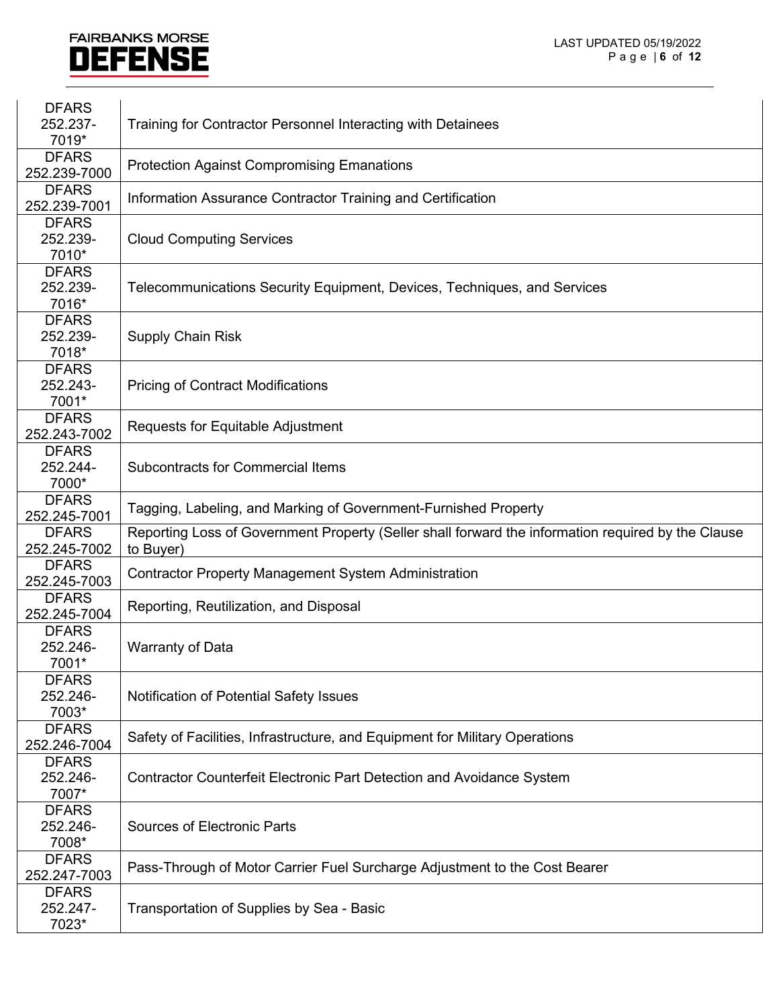| <b>DFARS</b>                 |                                                                                                    |
|------------------------------|----------------------------------------------------------------------------------------------------|
| 252.237-                     | Training for Contractor Personnel Interacting with Detainees                                       |
| 7019*                        |                                                                                                    |
| <b>DFARS</b>                 |                                                                                                    |
| 252.239-7000                 | <b>Protection Against Compromising Emanations</b>                                                  |
| <b>DFARS</b>                 | Information Assurance Contractor Training and Certification                                        |
| 252.239-7001                 |                                                                                                    |
| <b>DFARS</b>                 |                                                                                                    |
| 252.239-                     | <b>Cloud Computing Services</b>                                                                    |
| 7010*                        |                                                                                                    |
| <b>DFARS</b>                 |                                                                                                    |
| 252.239-                     | Telecommunications Security Equipment, Devices, Techniques, and Services                           |
| 7016*                        |                                                                                                    |
| <b>DFARS</b>                 |                                                                                                    |
| 252.239-                     | <b>Supply Chain Risk</b>                                                                           |
| 7018*                        |                                                                                                    |
| <b>DFARS</b>                 |                                                                                                    |
| 252.243-                     | <b>Pricing of Contract Modifications</b>                                                           |
| 7001*                        |                                                                                                    |
| <b>DFARS</b><br>252.243-7002 | Requests for Equitable Adjustment                                                                  |
| <b>DFARS</b>                 |                                                                                                    |
| 252.244-                     | <b>Subcontracts for Commercial Items</b>                                                           |
| 7000*                        |                                                                                                    |
| <b>DFARS</b>                 |                                                                                                    |
| 252.245-7001                 | Tagging, Labeling, and Marking of Government-Furnished Property                                    |
| <b>DFARS</b>                 | Reporting Loss of Government Property (Seller shall forward the information required by the Clause |
| 252.245-7002                 | to Buyer)                                                                                          |
| <b>DFARS</b>                 |                                                                                                    |
| 252.245-7003                 | <b>Contractor Property Management System Administration</b>                                        |
| <b>DFARS</b>                 |                                                                                                    |
| 252.245-7004                 | Reporting, Reutilization, and Disposal                                                             |
| <b>DFARS</b>                 |                                                                                                    |
| 252.246-                     | <b>Warranty of Data</b>                                                                            |
| 7001*                        |                                                                                                    |
| <b>DFARS</b>                 |                                                                                                    |
| 252.246-                     | Notification of Potential Safety Issues                                                            |
| 7003*                        |                                                                                                    |
| <b>DFARS</b>                 | Safety of Facilities, Infrastructure, and Equipment for Military Operations                        |
| 252.246-7004                 |                                                                                                    |
| <b>DFARS</b>                 |                                                                                                    |
| 252.246-                     | <b>Contractor Counterfeit Electronic Part Detection and Avoidance System</b>                       |
| 7007*                        |                                                                                                    |
| <b>DFARS</b>                 |                                                                                                    |
| 252.246-                     | <b>Sources of Electronic Parts</b>                                                                 |
| 7008*                        |                                                                                                    |
| <b>DFARS</b>                 | Pass-Through of Motor Carrier Fuel Surcharge Adjustment to the Cost Bearer                         |
| 252.247-7003                 |                                                                                                    |
| <b>DFARS</b>                 |                                                                                                    |
| 252.247-<br>7023*            | Transportation of Supplies by Sea - Basic                                                          |
|                              |                                                                                                    |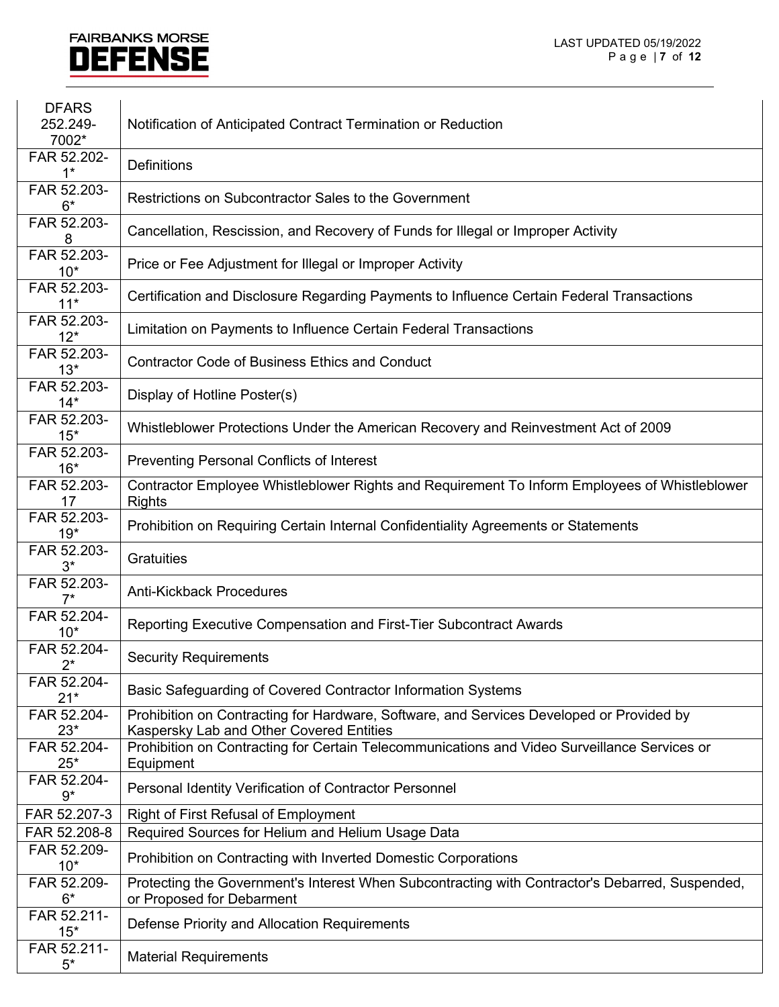| <b>DFARS</b>         |                                                                                                                                      |
|----------------------|--------------------------------------------------------------------------------------------------------------------------------------|
| 252.249-             | Notification of Anticipated Contract Termination or Reduction                                                                        |
| 7002*                |                                                                                                                                      |
| FAR 52.202-          | <b>Definitions</b>                                                                                                                   |
| $1^*$                |                                                                                                                                      |
| FAR 52.203-<br>$6*$  | Restrictions on Subcontractor Sales to the Government                                                                                |
| FAR 52.203-<br>8     | Cancellation, Rescission, and Recovery of Funds for Illegal or Improper Activity                                                     |
| FAR 52.203-<br>$10*$ | Price or Fee Adjustment for Illegal or Improper Activity                                                                             |
| FAR 52.203-<br>$11*$ | Certification and Disclosure Regarding Payments to Influence Certain Federal Transactions                                            |
| FAR 52.203-<br>$12*$ | Limitation on Payments to Influence Certain Federal Transactions                                                                     |
| FAR 52.203-<br>$13*$ | <b>Contractor Code of Business Ethics and Conduct</b>                                                                                |
| FAR 52.203-<br>$14*$ | Display of Hotline Poster(s)                                                                                                         |
| FAR 52.203-<br>$15*$ | Whistleblower Protections Under the American Recovery and Reinvestment Act of 2009                                                   |
| FAR 52.203-<br>$16*$ | <b>Preventing Personal Conflicts of Interest</b>                                                                                     |
| FAR 52.203-<br>17    | Contractor Employee Whistleblower Rights and Requirement To Inform Employees of Whistleblower<br><b>Rights</b>                       |
| FAR 52.203-<br>$19*$ | Prohibition on Requiring Certain Internal Confidentiality Agreements or Statements                                                   |
| FAR 52.203-<br>$3^*$ | <b>Gratuities</b>                                                                                                                    |
| FAR 52.203-          | <b>Anti-Kickback Procedures</b>                                                                                                      |
| FAR 52.204-<br>$10*$ | Reporting Executive Compensation and First-Tier Subcontract Awards                                                                   |
| FAR 52.204-<br>$2^*$ | <b>Security Requirements</b>                                                                                                         |
| FAR 52.204-<br>$21*$ | Basic Safeguarding of Covered Contractor Information Systems                                                                         |
| FAR 52.204-<br>$23*$ | Prohibition on Contracting for Hardware, Software, and Services Developed or Provided by<br>Kaspersky Lab and Other Covered Entities |
| FAR 52.204-<br>$25*$ | Prohibition on Contracting for Certain Telecommunications and Video Surveillance Services or<br>Equipment                            |
| FAR 52.204-<br>$9*$  | Personal Identity Verification of Contractor Personnel                                                                               |
| FAR 52.207-3         | <b>Right of First Refusal of Employment</b>                                                                                          |
| FAR 52.208-8         | Required Sources for Helium and Helium Usage Data                                                                                    |
| FAR 52.209-<br>$10*$ | Prohibition on Contracting with Inverted Domestic Corporations                                                                       |
| FAR 52.209-<br>$6*$  | Protecting the Government's Interest When Subcontracting with Contractor's Debarred, Suspended,<br>or Proposed for Debarment         |
| FAR 52.211-<br>$15*$ | Defense Priority and Allocation Requirements                                                                                         |
| FAR 52.211-<br>$5^*$ | <b>Material Requirements</b>                                                                                                         |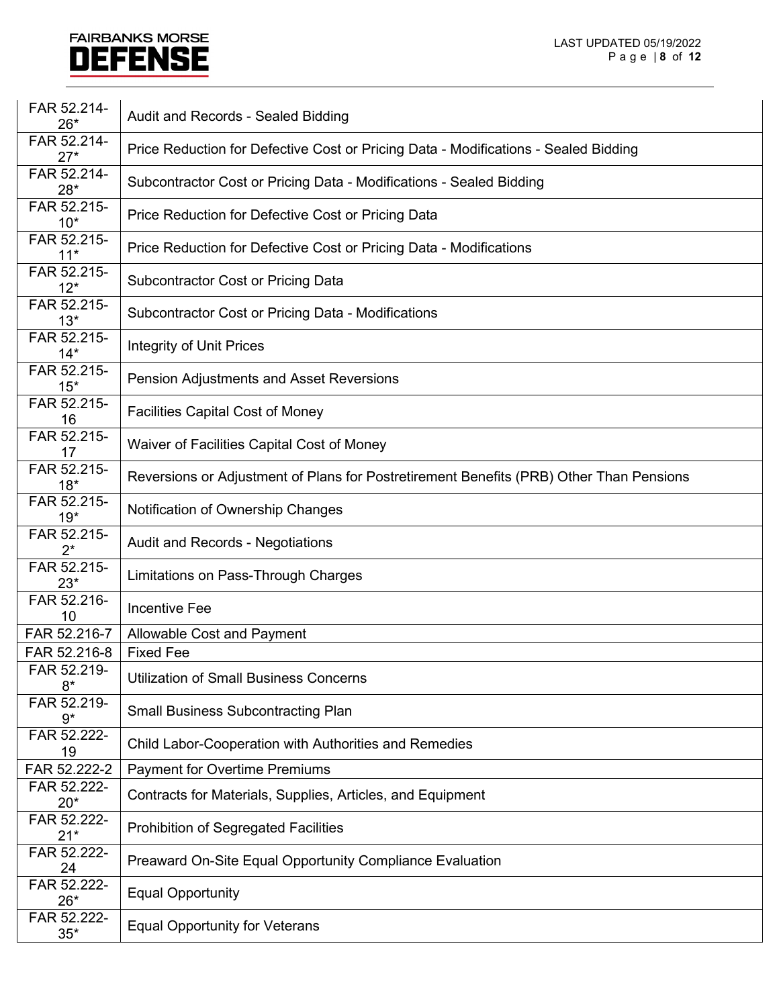| FAR 52.214-<br>$26*$ | Audit and Records - Sealed Bidding                                                      |
|----------------------|-----------------------------------------------------------------------------------------|
| FAR 52.214-<br>$27*$ | Price Reduction for Defective Cost or Pricing Data - Modifications - Sealed Bidding     |
| FAR 52.214-<br>$28*$ | Subcontractor Cost or Pricing Data - Modifications - Sealed Bidding                     |
| FAR 52.215-<br>$10*$ | Price Reduction for Defective Cost or Pricing Data                                      |
| FAR 52.215-<br>$11*$ | Price Reduction for Defective Cost or Pricing Data - Modifications                      |
| FAR 52.215-<br>$12*$ | <b>Subcontractor Cost or Pricing Data</b>                                               |
| FAR 52.215-<br>$13*$ | Subcontractor Cost or Pricing Data - Modifications                                      |
| FAR 52.215-<br>$14*$ | <b>Integrity of Unit Prices</b>                                                         |
| FAR 52.215-<br>$15*$ | <b>Pension Adjustments and Asset Reversions</b>                                         |
| FAR 52.215-<br>16    | <b>Facilities Capital Cost of Money</b>                                                 |
| FAR 52.215-<br>17    | Waiver of Facilities Capital Cost of Money                                              |
| FAR 52.215-<br>$18*$ | Reversions or Adjustment of Plans for Postretirement Benefits (PRB) Other Than Pensions |
| FAR 52.215-<br>$19*$ | Notification of Ownership Changes                                                       |
| FAR 52.215-<br>$2^*$ | <b>Audit and Records - Negotiations</b>                                                 |
| FAR 52.215-<br>$23*$ | Limitations on Pass-Through Charges                                                     |
| FAR 52.216-<br>10    | <b>Incentive Fee</b>                                                                    |
| FAR 52.216-7         | Allowable Cost and Payment                                                              |
| FAR 52.216-8         | <b>Fixed Fee</b>                                                                        |
| FAR 52.219-<br>$8*$  | <b>Utilization of Small Business Concerns</b>                                           |
| FAR 52.219-<br>$9*$  | <b>Small Business Subcontracting Plan</b>                                               |
| FAR 52.222-<br>19    | Child Labor-Cooperation with Authorities and Remedies                                   |
| FAR 52.222-2         | <b>Payment for Overtime Premiums</b>                                                    |
| FAR 52.222-<br>$20*$ | Contracts for Materials, Supplies, Articles, and Equipment                              |
| FAR 52.222-<br>$21*$ | <b>Prohibition of Segregated Facilities</b>                                             |
| FAR 52.222-<br>24    | Preaward On-Site Equal Opportunity Compliance Evaluation                                |
| FAR 52.222-<br>$26*$ | <b>Equal Opportunity</b>                                                                |
| FAR 52.222-<br>$35*$ | <b>Equal Opportunity for Veterans</b>                                                   |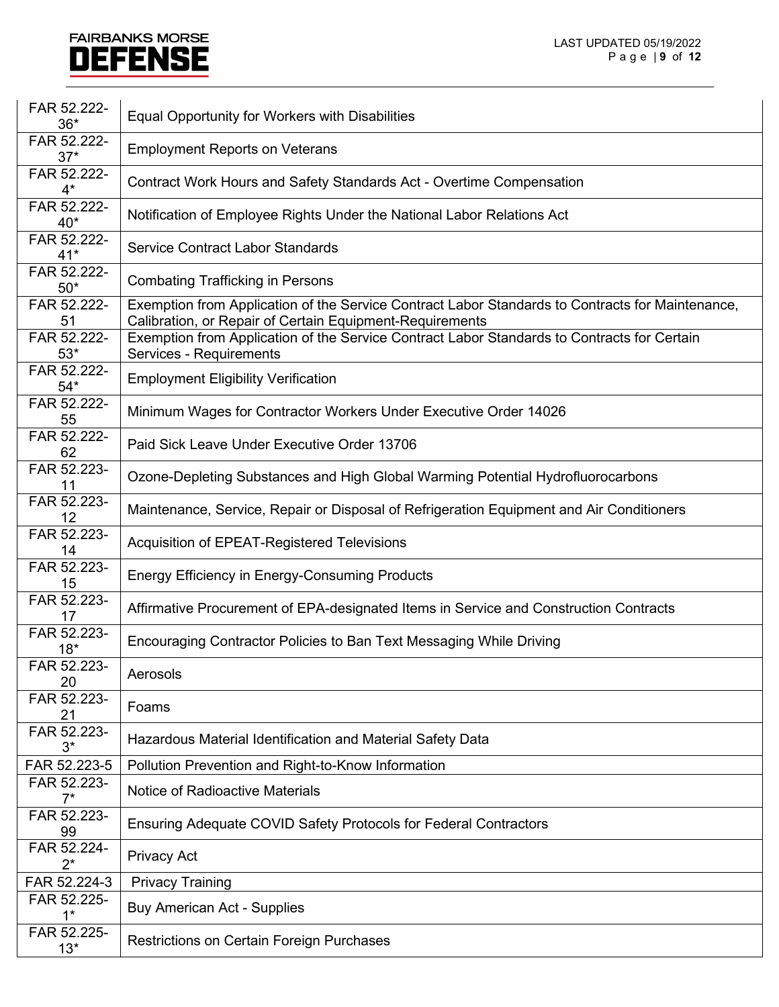| FAR 52.222-<br>$36*$ | Equal Opportunity for Workers with Disabilities                                                                                                              |
|----------------------|--------------------------------------------------------------------------------------------------------------------------------------------------------------|
| FAR 52.222-<br>$37*$ | <b>Employment Reports on Veterans</b>                                                                                                                        |
| FAR 52.222-<br>$4^*$ | Contract Work Hours and Safety Standards Act - Overtime Compensation                                                                                         |
| FAR 52.222-<br>$40*$ | Notification of Employee Rights Under the National Labor Relations Act                                                                                       |
| FAR 52.222-<br>$41*$ | <b>Service Contract Labor Standards</b>                                                                                                                      |
| FAR 52.222-<br>$50*$ | <b>Combating Trafficking in Persons</b>                                                                                                                      |
| FAR 52.222-<br>51    | Exemption from Application of the Service Contract Labor Standards to Contracts for Maintenance,<br>Calibration, or Repair of Certain Equipment-Requirements |
| FAR 52.222-<br>$53*$ | Exemption from Application of the Service Contract Labor Standards to Contracts for Certain<br>Services - Requirements                                       |
| FAR 52.222-<br>$54*$ | <b>Employment Eligibility Verification</b>                                                                                                                   |
| FAR 52.222-<br>55    | Minimum Wages for Contractor Workers Under Executive Order 14026                                                                                             |
| FAR 52.222-<br>62    | Paid Sick Leave Under Executive Order 13706                                                                                                                  |
| FAR 52.223-<br>11    | Ozone-Depleting Substances and High Global Warming Potential Hydrofluorocarbons                                                                              |
| FAR 52.223-<br>12    | Maintenance, Service, Repair or Disposal of Refrigeration Equipment and Air Conditioners                                                                     |
| FAR 52.223-<br>14    | Acquisition of EPEAT-Registered Televisions                                                                                                                  |
| FAR 52.223-<br>15    | <b>Energy Efficiency in Energy-Consuming Products</b>                                                                                                        |
| FAR 52.223-<br>17    | Affirmative Procurement of EPA-designated Items in Service and Construction Contracts                                                                        |
| FAR 52.223-<br>$18*$ | Encouraging Contractor Policies to Ban Text Messaging While Driving                                                                                          |
| FAR 52.223-<br>20    | Aerosols                                                                                                                                                     |
| FAR 52.223-<br>21    | Foams                                                                                                                                                        |
| FAR 52.223-<br>3*    | Hazardous Material Identification and Material Safety Data                                                                                                   |
| FAR 52.223-5         | Pollution Prevention and Right-to-Know Information                                                                                                           |
| FAR 52.223-<br>$7^*$ | <b>Notice of Radioactive Materials</b>                                                                                                                       |
| FAR 52.223-<br>99    | Ensuring Adequate COVID Safety Protocols for Federal Contractors                                                                                             |
| FAR 52.224-<br>$2^*$ | <b>Privacy Act</b>                                                                                                                                           |
| FAR 52.224-3         | <b>Privacy Training</b>                                                                                                                                      |
| FAR 52.225-<br>$1^*$ | <b>Buy American Act - Supplies</b>                                                                                                                           |
| FAR 52.225-<br>$13*$ | <b>Restrictions on Certain Foreign Purchases</b>                                                                                                             |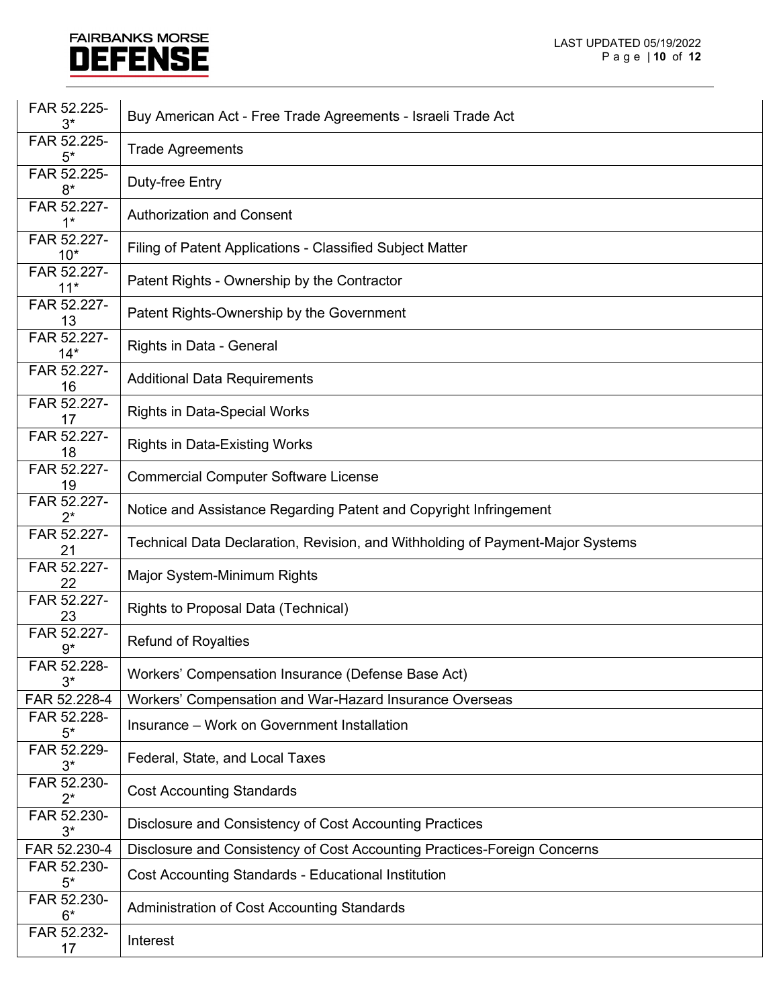| FAR 52.225-<br>3*    | Buy American Act - Free Trade Agreements - Israeli Trade Act                   |
|----------------------|--------------------------------------------------------------------------------|
| FAR 52.225-<br>5*    | <b>Trade Agreements</b>                                                        |
| FAR 52.225-<br>$8*$  | Duty-free Entry                                                                |
| FAR 52.227-<br>$1^*$ | <b>Authorization and Consent</b>                                               |
| FAR 52.227-<br>$10*$ | Filing of Patent Applications - Classified Subject Matter                      |
| FAR 52.227-<br>$11*$ | Patent Rights - Ownership by the Contractor                                    |
| FAR 52.227-<br>13    | Patent Rights-Ownership by the Government                                      |
| FAR 52.227-<br>$14*$ | Rights in Data - General                                                       |
| FAR 52.227-<br>16    | <b>Additional Data Requirements</b>                                            |
| FAR 52.227-<br>17    | <b>Rights in Data-Special Works</b>                                            |
| FAR 52.227-<br>18    | <b>Rights in Data-Existing Works</b>                                           |
| FAR 52.227-<br>19    | <b>Commercial Computer Software License</b>                                    |
| FAR 52.227-<br>$2^*$ | Notice and Assistance Regarding Patent and Copyright Infringement              |
| FAR 52.227-<br>21    | Technical Data Declaration, Revision, and Withholding of Payment-Major Systems |
| FAR 52.227-<br>22    | Major System-Minimum Rights                                                    |
| FAR 52.227-<br>23    | Rights to Proposal Data (Technical)                                            |
| FAR 52.227-<br>$9*$  | <b>Refund of Royalties</b>                                                     |
| FAR 52.228-<br>$3^*$ | Workers' Compensation Insurance (Defense Base Act)                             |
| FAR 52.228-4         | Workers' Compensation and War-Hazard Insurance Overseas                        |
| FAR 52.228-<br>$5*$  | Insurance - Work on Government Installation                                    |
| FAR 52.229-<br>3*    | Federal, State, and Local Taxes                                                |
| FAR 52.230-<br>$2^*$ | <b>Cost Accounting Standards</b>                                               |
| FAR 52.230-<br>$3^*$ | Disclosure and Consistency of Cost Accounting Practices                        |
| FAR 52.230-4         | Disclosure and Consistency of Cost Accounting Practices-Foreign Concerns       |
| FAR 52.230-<br>$5^*$ | <b>Cost Accounting Standards - Educational Institution</b>                     |
| FAR 52.230-<br>$6*$  | Administration of Cost Accounting Standards                                    |
| FAR 52.232-<br>17    | Interest                                                                       |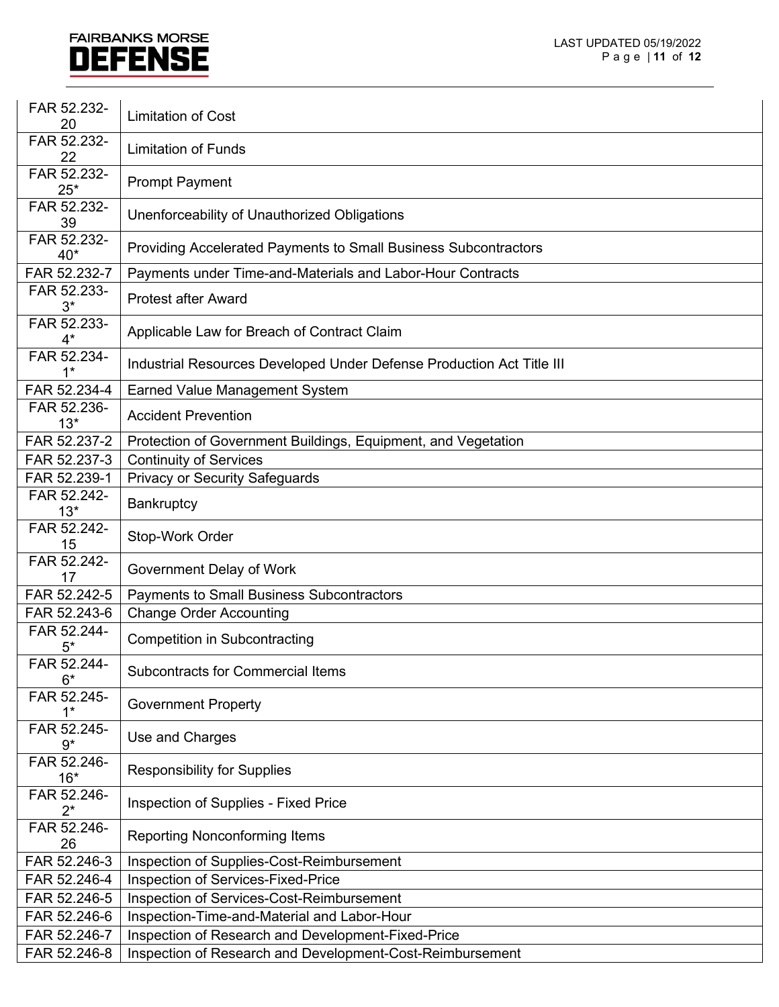| FAR 52.232-<br>20          | <b>Limitation of Cost</b>                                             |
|----------------------------|-----------------------------------------------------------------------|
| FAR 52.232-<br>22          | <b>Limitation of Funds</b>                                            |
| FAR 52.232-<br>$25*$       | <b>Prompt Payment</b>                                                 |
| FAR 52.232-<br>39          | Unenforceability of Unauthorized Obligations                          |
| FAR 52.232-<br>40*         | Providing Accelerated Payments to Small Business Subcontractors       |
| FAR 52.232-7               | Payments under Time-and-Materials and Labor-Hour Contracts            |
| FAR 52.233-<br>$3^*$       | <b>Protest after Award</b>                                            |
| FAR 52.233-<br>$4^*$       | Applicable Law for Breach of Contract Claim                           |
| FAR 52.234-<br>$1*$        | Industrial Resources Developed Under Defense Production Act Title III |
| FAR 52.234-4               | <b>Earned Value Management System</b>                                 |
| FAR 52.236-<br>$13*$       | <b>Accident Prevention</b>                                            |
| FAR 52.237-2               | Protection of Government Buildings, Equipment, and Vegetation         |
| FAR 52.237-3               | <b>Continuity of Services</b>                                         |
| FAR 52.239-1               | <b>Privacy or Security Safeguards</b>                                 |
| FAR 52.242-<br>$13*$       | Bankruptcy                                                            |
| FAR 52.242-<br>15          | Stop-Work Order                                                       |
| FAR 52.242-<br>17          | Government Delay of Work                                              |
| FAR 52.242-5               | <b>Payments to Small Business Subcontractors</b>                      |
| FAR 52.243-6               | <b>Change Order Accounting</b>                                        |
| FAR 52.244-<br>$5*$        | <b>Competition in Subcontracting</b>                                  |
| FAR 52.244-<br>$6*$        | <b>Subcontracts for Commercial Items</b>                              |
| FAR 52.245-<br>$1^*$       | <b>Government Property</b>                                            |
| FAR 52.245-<br>$9*$        | Use and Charges                                                       |
| FAR 52.246-<br>$16*$       | <b>Responsibility for Supplies</b>                                    |
| FAR 52.246-<br>$2^{\star}$ | Inspection of Supplies - Fixed Price                                  |
| FAR 52.246-<br>26          | <b>Reporting Nonconforming Items</b>                                  |
| FAR 52.246-3               | Inspection of Supplies-Cost-Reimbursement                             |
| FAR 52.246-4               | Inspection of Services-Fixed-Price                                    |
| FAR 52.246-5               | Inspection of Services-Cost-Reimbursement                             |
| FAR 52.246-6               | Inspection-Time-and-Material and Labor-Hour                           |
| FAR 52.246-7               | Inspection of Research and Development-Fixed-Price                    |
| FAR 52.246-8               | Inspection of Research and Development-Cost-Reimbursement             |